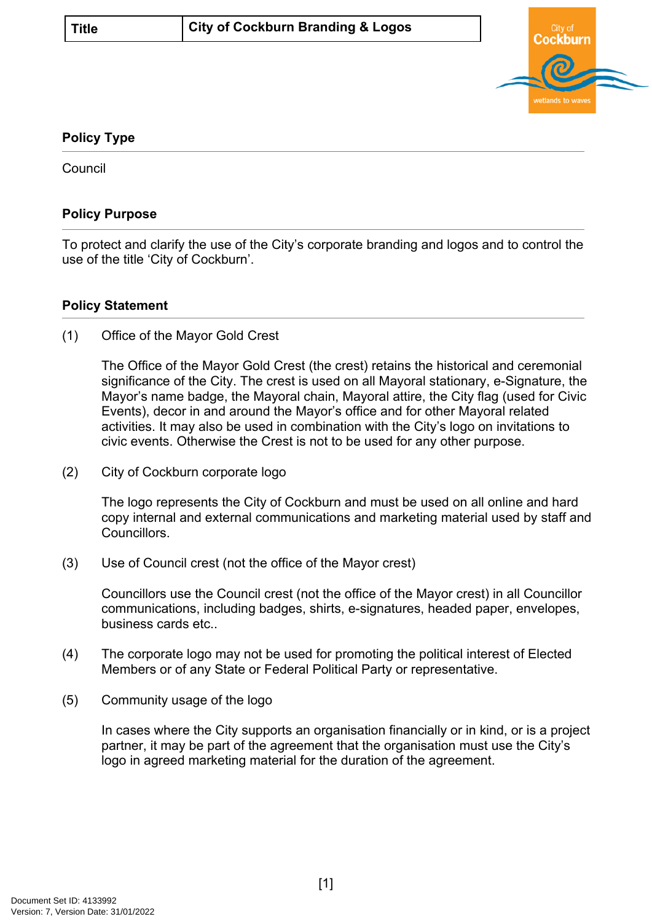

## **Policy Type**

**Council** 

## **Policy Purpose**

To protect and clarify the use of the City's corporate branding and logos and to control the use of the title 'City of Cockburn'.

## **[Policy Statement](#page-0-0)**

<span id="page-0-0"></span>(1) Office of the Mayor Gold Crest

The Office of the Mayor Gold Crest (the crest) retains the historical and ceremonial significance of the City. The crest is used on all Mayoral stationary, e-Signature, the Mayor's name badge, the Mayoral chain, Mayoral attire, the City flag (used for Civic Events), decor in and around the Mayor's office and for other Mayoral related activities. It may also be used in combination with the City's logo on invitations to civic events. Otherwise the Crest is not to be used for any other purpose.

(2) City of Cockburn corporate logo

The logo represents the City of Cockburn and must be used on all online and hard copy internal and external communications and marketing material used by staff and Councillors.

(3) Use of Council crest (not the office of the Mayor crest)

Councillors use the Council crest (not the office of the Mayor crest) in all Councillor communications, including badges, shirts, e-signatures, headed paper, envelopes, business cards etc..

- (4) The corporate logo may not be used for promoting the political interest of Elected Members or of any State or Federal Political Party or representative.
- (5) Community usage of the logo

<span id="page-0-1"></span>In cases where the City supports an organisation financially or in kind, or is a project partner, it may be part of the agreement that the organisation must use the City's logo in agreed marketing material for the duration of the agreement.